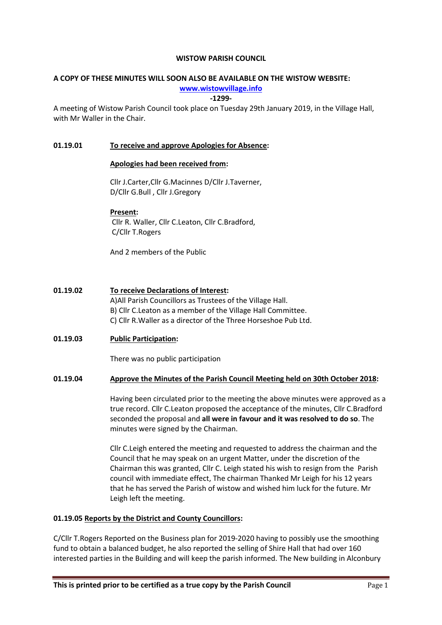#### WISTOW PARISH COUNCIL

# A COPY OF THESE MINUTES WILL SOON ALSO BE AVAILABLE ON THE WISTOW WEBSITE:

www.wistowvillage.info

-1299-

A meeting of Wistow Parish Council took place on Tuesday 29th January 2019, in the Village Hall, with Mr Waller in the Chair.

### 01.19.01 To receive and approve Apologies for Absence:

#### Apologies had been received from:

Cllr J.Carter,Cllr G.Macinnes D/Cllr J.Taverner, D/Cllr G.Bull , Cllr J.Gregory

#### Present:

 Cllr R. Waller, Cllr C.Leaton, Cllr C.Bradford, C/Cllr T.Rogers

And 2 members of the Public

### 01.19.02 To receive Declarations of Interest:

A)All Parish Councillors as Trustees of the Village Hall. B) Cllr C.Leaton as a member of the Village Hall Committee. C) Cllr R.Waller as a director of the Three Horseshoe Pub Ltd.

# 01.19.03 Public Participation:

There was no public participation

#### 01.19.04 Approve the Minutes of the Parish Council Meeting held on 30th October 2018:

Having been circulated prior to the meeting the above minutes were approved as a true record. Cllr C.Leaton proposed the acceptance of the minutes, Cllr C.Bradford seconded the proposal and all were in favour and it was resolved to do so. The minutes were signed by the Chairman.

Cllr C.Leigh entered the meeting and requested to address the chairman and the Council that he may speak on an urgent Matter, under the discretion of the Chairman this was granted, Cllr C. Leigh stated his wish to resign from the Parish council with immediate effect, The chairman Thanked Mr Leigh for his 12 years that he has served the Parish of wistow and wished him luck for the future. Mr Leigh left the meeting.

#### 01.19.05 Reports by the District and County Councillors:

C/Cllr T.Rogers Reported on the Business plan for 2019-2020 having to possibly use the smoothing fund to obtain a balanced budget, he also reported the selling of Shire Hall that had over 160 interested parties in the Building and will keep the parish informed. The New building in Alconbury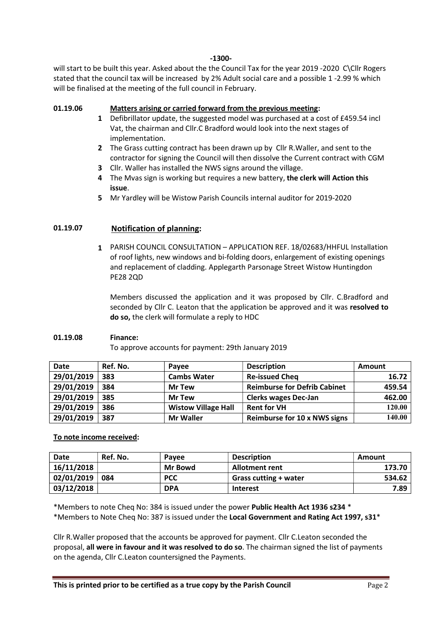#### -1300-

will start to be built this year. Asked about the the Council Tax for the year 2019 -2020 C\Cllr Rogers stated that the council tax will be increased by 2% Adult social care and a possible 1 -2.99 % which will be finalised at the meeting of the full council in February.

#### 01.19.06 Matters arising or carried forward from the previous meeting:

- 1 Defibrillator update, the suggested model was purchased at a cost of £459.54 incl Vat, the chairman and Cllr.C Bradford would look into the next stages of implementation.
- 2 The Grass cutting contract has been drawn up by Cllr R. Waller, and sent to the contractor for signing the Council will then dissolve the Current contract with CGM
- 3 Cllr. Waller has installed the NWS signs around the village.
- 4 The Mvas sign is working but requires a new battery, the clerk will Action this issue.
- 5 Mr Yardley will be Wistow Parish Councils internal auditor for 2019-2020

#### 01.19.07 Notification of planning:

1 PARISH COUNCIL CONSULTATION – APPLICATION REF. 18/02683/HHFUL Installation of roof lights, new windows and bi-folding doors, enlargement of existing openings and replacement of cladding. Applegarth Parsonage Street Wistow Huntingdon PE28 2QD

Members discussed the application and it was proposed by Cllr. C.Bradford and seconded by Cllr C. Leaton that the application be approved and it was resolved to do so, the clerk will formulate a reply to HDC

#### 01.19.08 Finance:

To approve accounts for payment: 29th January 2019

| <b>Date</b> | Ref. No. | <b>Pavee</b>               | <b>Description</b>                  | Amount |
|-------------|----------|----------------------------|-------------------------------------|--------|
| 29/01/2019  | 383      | <b>Cambs Water</b>         | <b>Re-issued Cheq</b>               | 16.72  |
| 29/01/2019  | 384      | <b>Mr Tew</b>              | <b>Reimburse for Defrib Cabinet</b> | 459.54 |
| 29/01/2019  | 385      | <b>Mr Tew</b>              | <b>Clerks wages Dec-Jan</b>         | 462.00 |
| 29/01/2019  | 386      | <b>Wistow Village Hall</b> | <b>Rent for VH</b>                  | 120.00 |
| 29/01/2019  | 387      | <b>Mr Waller</b>           | Reimburse for 10 x NWS signs        | 140.00 |

#### To note income received:

| <b>Date</b> | Ref. No. | Pavee          | <b>Description</b>           | Amount |
|-------------|----------|----------------|------------------------------|--------|
| 16/11/2018  |          | <b>Mr Bowd</b> | <b>Allotment rent</b>        | 173.70 |
| 02/01/2019  | 084      | <b>PCC</b>     | <b>Grass cutting + water</b> | 534.62 |
| 03/12/2018  |          | <b>DPA</b>     | <b>Interest</b>              | 7.89   |

\*Members to note Cheq No: 384 is issued under the power Public Health Act 1936 s234 \* \*Members to Note Cheq No: 387 is issued under the Local Government and Rating Act 1997, s31\*

Cllr R.Waller proposed that the accounts be approved for payment. Cllr C.Leaton seconded the proposal, all were in favour and it was resolved to do so. The chairman signed the list of payments on the agenda, Cllr C.Leaton countersigned the Payments.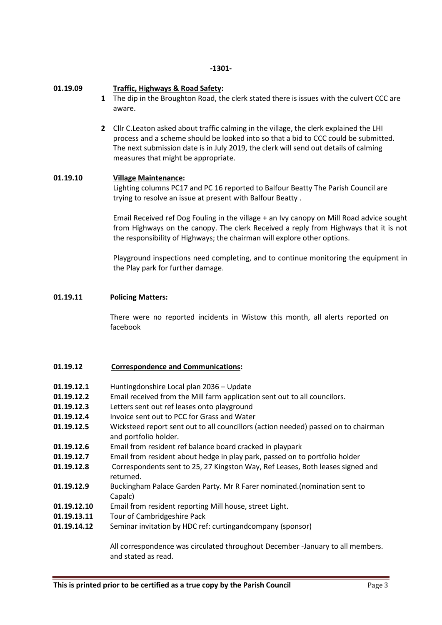#### -1301-

#### 01.19.09 Traffic, Highways & Road Safety:

- 1 The dip in the Broughton Road, the clerk stated there is issues with the culvert CCC are aware.
- 2 Cllr C.Leaton asked about traffic calming in the village, the clerk explained the LHI process and a scheme should be looked into so that a bid to CCC could be submitted. The next submission date is in July 2019, the clerk will send out details of calming measures that might be appropriate.

### 01.19.10 Village Maintenance:

Lighting columns PC17 and PC 16 reported to Balfour Beatty The Parish Council are trying to resolve an issue at present with Balfour Beatty .

Email Received ref Dog Fouling in the village + an Ivy canopy on Mill Road advice sought from Highways on the canopy. The clerk Received a reply from Highways that it is not the responsibility of Highways; the chairman will explore other options.

Playground inspections need completing, and to continue monitoring the equipment in the Play park for further damage.

#### 01.19.11 Policing Matters:

There were no reported incidents in Wistow this month, all alerts reported on facebook

#### 01.19.12 Correspondence and Communications:

- 01.19.12.1 Huntingdonshire Local plan 2036 Update
- 01.19.12.2 Email received from the Mill farm application sent out to all councilors.
- 01.19.12.3 Letters sent out ref leases onto playground
- 01.19.12.4 Invoice sent out to PCC for Grass and Water
- 01.19.12.5 Wicksteed report sent out to all councillors (action needed) passed on to chairman and portfolio holder.
- 01.19.12.6 Email from resident ref balance board cracked in playpark
- 01.19.12.7 Email from resident about hedge in play park, passed on to portfolio holder
- 01.19.12.8 Correspondents sent to 25, 27 Kingston Way, Ref Leases, Both leases signed and returned.
- 01.19.12.9 Buckingham Palace Garden Party. Mr R Farer nominated.(nomination sent to Capalc)
- 01.19.12.10 Email from resident reporting Mill house, street Light.
- 01.19.13.11 Tour of Cambridgeshire Pack
- 01.19.14.12 Seminar invitation by HDC ref: curtingandcompany (sponsor)

All correspondence was circulated throughout December -January to all members. and stated as read.